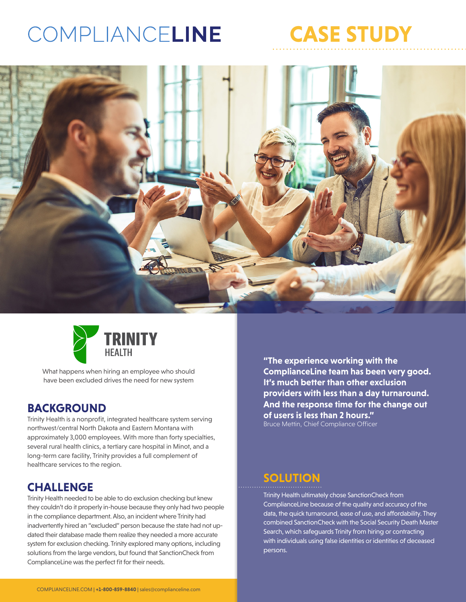## COMPLIANCELINE







What happens when hiring an employee who should have been excluded drives the need for new system

### **BACKGROUND**

Trinity Health is a nonprofit, integrated healthcare system serving northwest/central North Dakota and Eastern Montana with approximately 3,000 employees. With more than forty specialties, several rural health clinics, a tertiary care hospital in Minot, and a long-term care facility, Trinity provides a full complement of healthcare services to the region.

## **CHALLENGE**

Trinity Health needed to be able to do exclusion checking but knew they couldn't do it properly in-house because they only had two people in the compliance department. Also, an incident where Trinity had inadvertently hired an "excluded" person because the state had not updated their database made them realize they needed a more accurate system for exclusion checking. Trinity explored many options, including solutions from the large vendors, but found that SanctionCheck from ComplianceLine was the perfect fit for their needs.

**"The experience working with the ComplianceLine team has been very good. It's much better than other exclusion providers with less than a day turnaround. And the response time for the change out of users is less than 2 hours."**  Bruce Mettin, Chief Compliance Officer

## **SOLUTION**

Trinity Health ultimately chose SanctionCheck from ComplianceLine because of the quality and accuracy of the data, the quick turnaround, ease of use, and affordability. They combined SanctionCheck with the Social Security Death Master Search, which safeguards Trinity from hiring or contracting with individuals using false identities or identities of deceased persons.